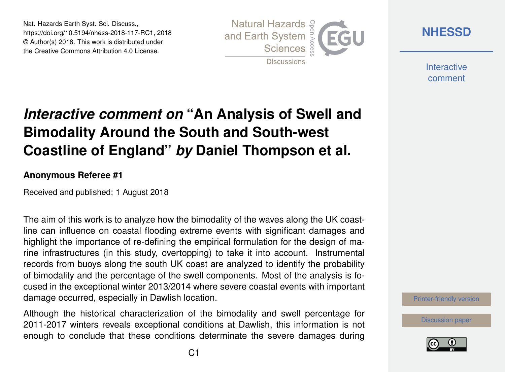Nat. Hazards Earth Syst. Sci. Discuss., https://doi.org/10.5194/nhess-2018-117-RC1, 2018 © Author(s) 2018. This work is distributed under the Creative Commons Attribution 4.0 License.



**[NHESSD](https://www.nat-hazards-earth-syst-sci-discuss.net/)**

**Interactive** comment

## *Interactive comment on* **"An Analysis of Swell and Bimodality Around the South and South-west Coastline of England"** *by* **Daniel Thompson et al.**

## **Anonymous Referee #1**

Received and published: 1 August 2018

The aim of this work is to analyze how the bimodality of the waves along the UK coastline can influence on coastal flooding extreme events with significant damages and highlight the importance of re-defining the empirical formulation for the design of marine infrastructures (in this study, overtopping) to take it into account. Instrumental records from buoys along the south UK coast are analyzed to identify the probability of bimodality and the percentage of the swell components. Most of the analysis is focused in the exceptional winter 2013/2014 where severe coastal events with important damage occurred, especially in Dawlish location.

Although the historical characterization of the bimodality and swell percentage for 2011-2017 winters reveals exceptional conditions at Dawlish, this information is not enough to conclude that these conditions determinate the severe damages during

[Printer-friendly version](https://www.nat-hazards-earth-syst-sci-discuss.net/nhess-2018-117/nhess-2018-117-RC1-print.pdf)

[Discussion paper](https://www.nat-hazards-earth-syst-sci-discuss.net/nhess-2018-117)